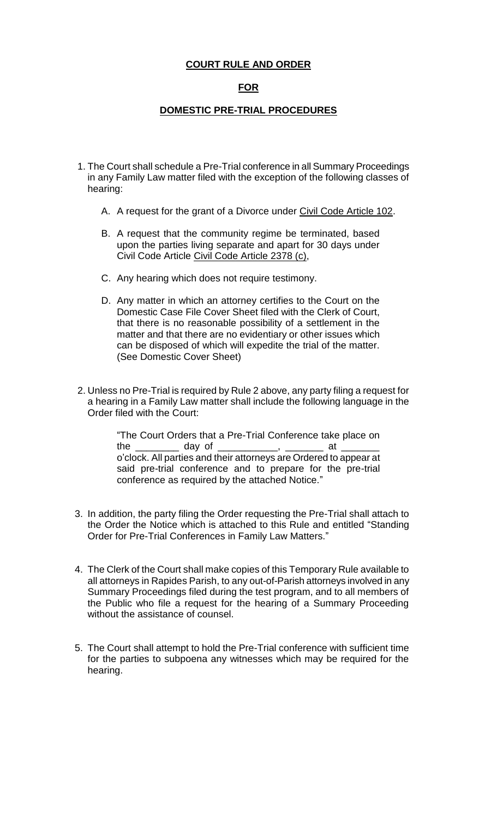### **COURT RULE AND ORDER**

# **FOR**

### **DOMESTIC PRE-TRIAL PROCEDURES**

- 1. The Court shall schedule a Pre-Trial conference in all Summary Proceedings in any Family Law matter filed with the exception of the following classes of hearing:
	- A. A request for the grant of a Divorce under Civil Code Article 102.
	- B. A request that the community regime be terminated, based upon the parties living separate and apart for 30 days under Civil Code Article Civil Code Article 2378 (c),
	- C. Any hearing which does not require testimony.
	- D. Any matter in which an attorney certifies to the Court on the Domestic Case File Cover Sheet filed with the Clerk of Court, that there is no reasonable possibility of a settlement in the matter and that there are no evidentiary or other issues which can be disposed of which will expedite the trial of the matter. (See Domestic Cover Sheet)
- 2. Unless no Pre-Trial is required by Rule 2 above, any party filing a request for a hearing in a Family Law matter shall include the following language in the Order filed with the Court:

 "The Court Orders that a Pre-Trial Conference take place on the \_\_\_\_\_\_\_\_\_\_ day of \_\_\_\_\_\_\_\_\_\_\_\_, \_\_\_\_\_\_\_\_ at \_ o'clock. All parties and their attorneys are Ordered to appear at said pre-trial conference and to prepare for the pre-trial conference as required by the attached Notice."

- 3. In addition, the party filing the Order requesting the Pre-Trial shall attach to the Order the Notice which is attached to this Rule and entitled "Standing Order for Pre-Trial Conferences in Family Law Matters."
- 4. The Clerk of the Court shall make copies of this Temporary Rule available to all attorneys in Rapides Parish, to any out-of-Parish attorneys involved in any Summary Proceedings filed during the test program, and to all members of the Public who file a request for the hearing of a Summary Proceeding without the assistance of counsel.
- 5. The Court shall attempt to hold the Pre-Trial conference with sufficient time for the parties to subpoena any witnesses which may be required for the hearing.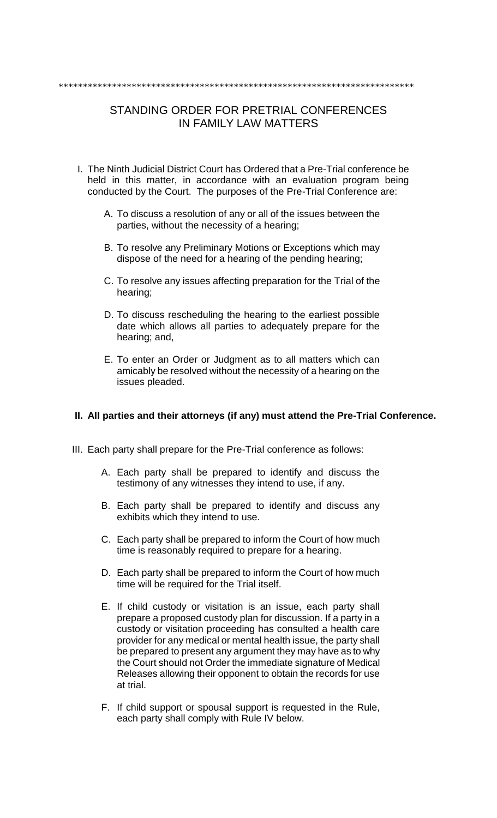## \*\*\*\*\*\*\*\*\*\*\*\*\*\*\*\*\*\*\*\*\*\*\*\*\*\*\*\*\*\*\*\*\*\*\*\*\*\*\*\*\*\*\*\*\*\*\*\*\*\*\*\*\*\*\*\*\*\*\*\*\*\*\*\*\*\*\*\*\*\*\*\*\*

# STANDING ORDER FOR PRETRIAL CONFERENCES IN FAMILY LAW MATTERS

- I. The Ninth Judicial District Court has Ordered that a Pre-Trial conference be held in this matter, in accordance with an evaluation program being conducted by the Court. The purposes of the Pre-Trial Conference are:
	- A. To discuss a resolution of any or all of the issues between the parties, without the necessity of a hearing;
	- B. To resolve any Preliminary Motions or Exceptions which may dispose of the need for a hearing of the pending hearing;
	- C. To resolve any issues affecting preparation for the Trial of the hearing;
	- D. To discuss rescheduling the hearing to the earliest possible date which allows all parties to adequately prepare for the hearing; and,
	- E. To enter an Order or Judgment as to all matters which can amicably be resolved without the necessity of a hearing on the issues pleaded.

#### **II. All parties and their attorneys (if any) must attend the Pre-Trial Conference.**

- III. Each party shall prepare for the Pre-Trial conference as follows:
	- A. Each party shall be prepared to identify and discuss the testimony of any witnesses they intend to use, if any.
	- B. Each party shall be prepared to identify and discuss any exhibits which they intend to use.
	- C. Each party shall be prepared to inform the Court of how much time is reasonably required to prepare for a hearing.
	- D. Each party shall be prepared to inform the Court of how much time will be required for the Trial itself.
	- E. If child custody or visitation is an issue, each party shall prepare a proposed custody plan for discussion. If a party in a custody or visitation proceeding has consulted a health care provider for any medical or mental health issue, the party shall be prepared to present any argument they may have as to why the Court should not Order the immediate signature of Medical Releases allowing their opponent to obtain the records for use at trial.
	- F. If child support or spousal support is requested in the Rule, each party shall comply with Rule IV below.